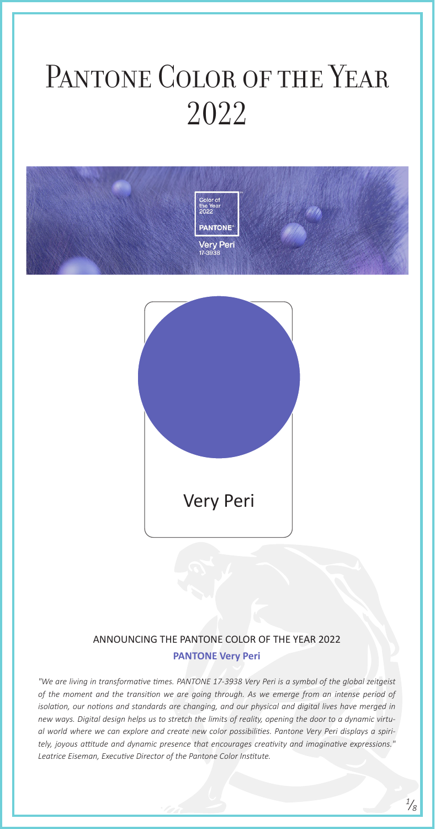ANNOUNCING THE PANTONE COLOR OF THE YEAR 2022

#### **PANTONE Very Peri**

### PANTONE COLOR OF THE YEAR 2022



*"We are living in transformative times. PANTONE 17-3938 Very Peri is a symbol of the global zeitgeist of the moment and the transition we are going through. As we emerge from an intense period of isolation, our notions and standards are changing, and our physical and digital lives have merged in new ways. Digital design helps us to stretch the limits of reality, opening the door to a dynamic virtual world where we can explore and create new color possibilities. Pantone Very Peri displays a spiritely, joyous attitude and dynamic presence that encourages creativity and imaginative expressions." Leatrice Eiseman, Executive Director of the Pantone Color Institute.*

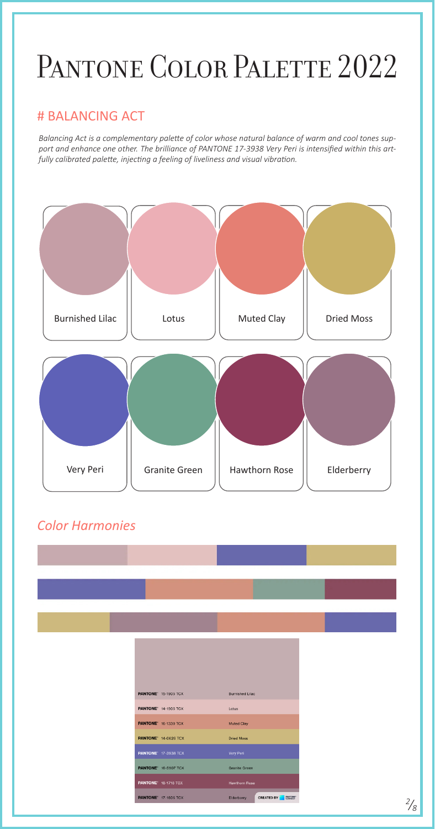*Balancing Act is a complementary palette of color whose natural balance of warm and cool tones support and enhance one other. The brilliance of PANTONE 17-3938 Very Peri is intensified within this artfully calibrated palette, injecting a feeling of liveliness and visual vibration.*



### PANTONE COLOR PALETTE 2022

#### # BALANCING ACT

| <b>PANTONE' 15-1905 TCX</b> | <b>Burnished Lilac</b>                            |
|-----------------------------|---------------------------------------------------|
| <b>PANTONE' 14-1905 TCX</b> | Lotus                                             |
| <b>PANTONE' 16-1330 TCX</b> | <b>Muted Clay</b>                                 |
| <b>PANTONE' 14-0626 TCX</b> | Dried Moss                                        |
| <b>PANTONE' 17-3938 TCX</b> | Very Peri                                         |
| <b>PANTONE' 16-5907 TCX</b> | <b>Granite Green</b>                              |
| <b>PANTONE' 18-1718 TCX</b> | <b>Hawthorn Rose</b>                              |
| <b>PANTONE' 17-1605 TCX</b> | <b>CREATED BY</b><br><b>PANTONE</b><br>Elderberry |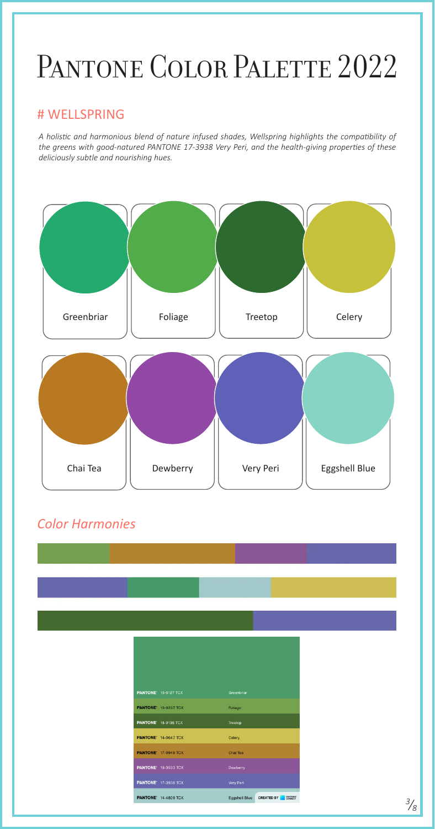*A holistic and harmonious blend of nature infused shades, Wellspring highlights the compatibility of the greens with good-natured PANTONE 17-3938 Very Peri, and the health-giving properties of these deliciously subtle and nourishing hues.*



# PANTONE COLOR PALETTE 2022

#### # WELLSPRING

|  | <b>PANTONE</b> 16-6127 TCX  | Greenbriar           |                                     |
|--|-----------------------------|----------------------|-------------------------------------|
|  | <b>PANTONE' 16-0237 TCX</b> | Foliage              |                                     |
|  | <b>PANTONE</b> 18-0135 TCX  | Treetop              |                                     |
|  | <b>PANTONE' 14-0647 TCX</b> | Celery               |                                     |
|  | <b>PANTONE' 17-0949 TCX</b> | Chai Tea             |                                     |
|  | <b>PANTONE' 18-3533 TCX</b> | <b>Dewberry</b>      |                                     |
|  | <b>PANTONE' 17-3938 TCX</b> | Very Peri            |                                     |
|  | <b>PANTONE</b> 14-4809 TCX  | <b>Eggshell Blue</b> | <b>PANTONE</b><br><b>CREATED BY</b> |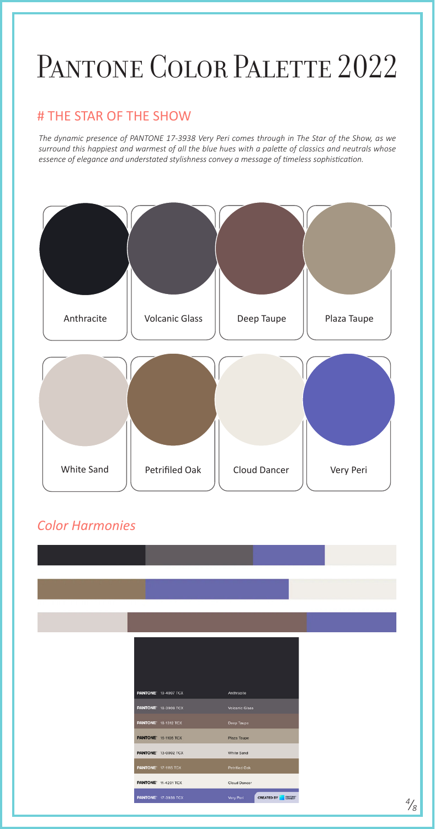*The dynamic presence of PANTONE 17-3938 Very Peri comes through in The Star of the Show, as we surround this happiest and warmest of all the blue hues with a palette of classics and neutrals whose essence of elegance and understated stylishness convey a message of timeless sophistication.*



### PANTONE COLOR PALETTE 2022

#### # THE STAR OF THE SHOW

| <b>PANTONE' 19-4007 TCX</b> | Anthracite                     |
|-----------------------------|--------------------------------|
| <b>PANTONE' 18-3908 TCX</b> | <b>Volcanic Glass</b>          |
| <b>PANTONE' 18-1312 TCX</b> | Deep Taupe                     |
| <b>PANTONE' 16-1105 TCX</b> | Plaza Taupe                    |
| <b>PANTONE' 13-0002 TCX</b> | <b>White Sand</b>              |
| <b>PANTONE' 17-1115 TCX</b> | <b>Petrified Oak</b>           |
| <b>PANTONE' 11-4201 TCX</b> | Cloud Dancer                   |
| <b>PANTONE</b> 17-3938 TCX  | <b>CREATED BY</b><br>Very Peri |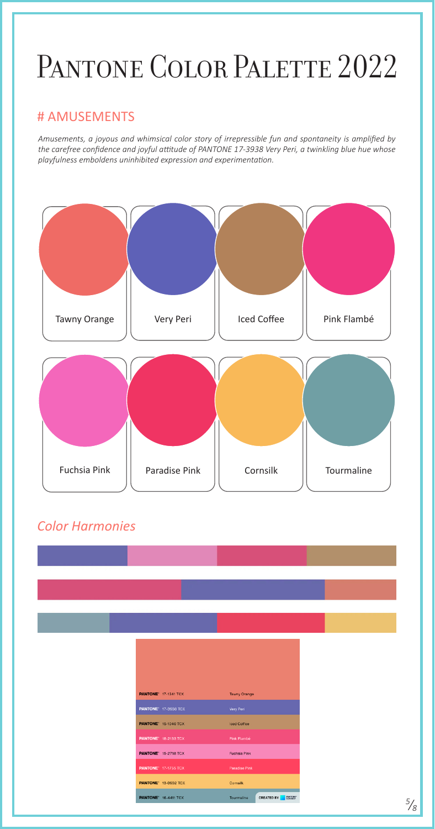*Amusements, a joyous and whimsical color story of irrepressible fun and spontaneity is amplified by the carefree confidence and joyful attitude of PANTONE 17-3938 Very Peri, a twinkling blue hue whose playfulness emboldens uninhibited expression and experimentation.*



# PANTONE COLOR PALETTE 2022

#### # AMUSEMENTS

|  | <b>PANTONE' 17-1341 TCX</b> | <b>Tawny Orange</b>  |                   |
|--|-----------------------------|----------------------|-------------------|
|  | <b>PANTONE' 17-3938 TCX</b> | Very Peri            |                   |
|  | <b>PANTONE' 15-1040 TCX</b> | Iced Coffee          |                   |
|  | <b>PANTONE</b> 18-2133 TCX  | Pink Flambé          |                   |
|  | <b>PANTONE' 15-2718 TCX</b> | <b>Fuchsia Pink</b>  |                   |
|  | <b>PANTONE</b> 17-1755 TCX  | <b>Paradise Pink</b> |                   |
|  | <b>PANTONE' 13-0932 TCX</b> | Cornsilk             |                   |
|  | <b>PANTONE</b> 16-4411 TCX  | Tourmaline           | <b>CREATED BY</b> |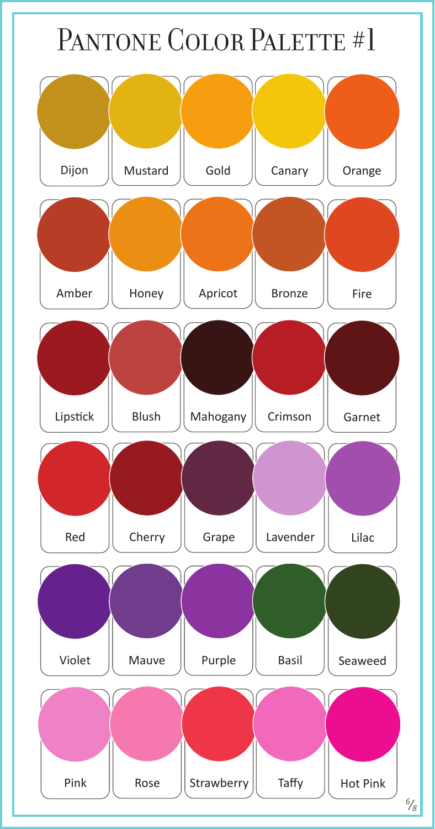### PANTONE COLOR PALETTE #1

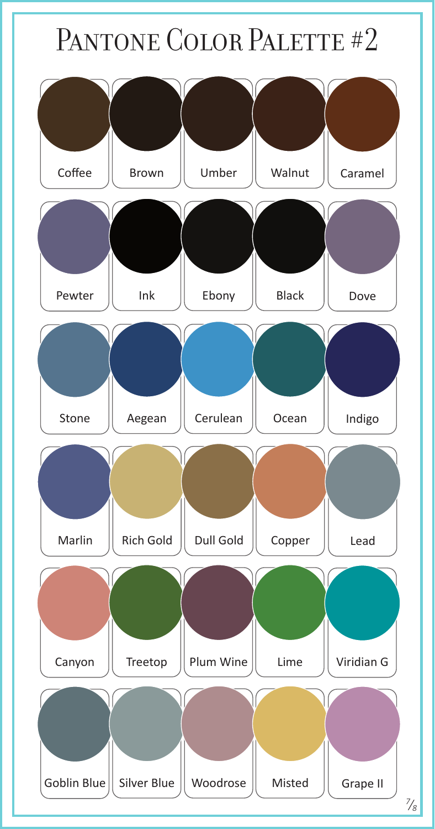### PANTONE COLOR PALETTE #2

![](_page_6_Figure_1.jpeg)